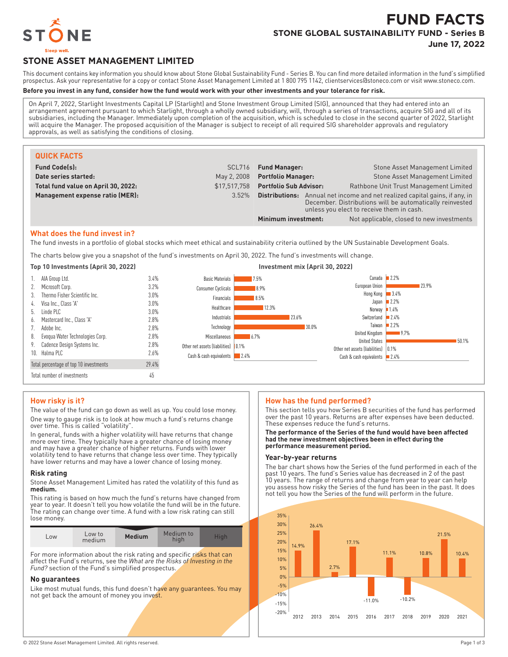

# **FUND FACTS STONE GLOBAL SUSTAINABILITY FUND - Series B**

**June 17, 2022**

## **STONE ASSET MANAGEMENT LIMITED**

This document contains key information you should know about Stone Global Sustainability Fund - Series B. You can find more detailed information in the fund's simplified prospectus. Ask your representative for a copy or contact Stone Asset Management Limited at 1 800 795 1142, clientservices@stoneco.com or visit www.stoneco.com.

## **Before you invest in any fund, consider how the fund would work with your other investments and your tolerance for risk.**

On April 7, 2022, Starlight Investments Capital LP (Starlight) and Stone Investment Group Limited (SIG), announced that they had entered into an arrangement agreement pursuant to which Starlight, through a wholly owned subsidiary, will, through a series of transactions, acquire SIG and all of its subsidiaries, including the Manager. Immediately upon completion of the acquisition, which is scheduled to close in the second quarter of 2022, Starlight will acquire the Manager. The proposed acquisition of the Manager is subject to receipt of all required SIG shareholder approvals and regulatory approvals, as well as satisfying the conditions of closing.

| <b>QUICK FACTS</b>                  |              |                                                                                                                                                                                         |                                           |
|-------------------------------------|--------------|-----------------------------------------------------------------------------------------------------------------------------------------------------------------------------------------|-------------------------------------------|
| <b>Fund Code(s):</b>                | SCL716       | <b>Fund Manager:</b>                                                                                                                                                                    | Stone Asset Management Limited            |
| Date series started:                | May 2, 2008  | <b>Portfolio Manager:</b>                                                                                                                                                               | Stone Asset Management Limited            |
| Total fund value on April 30, 2022: | \$17.517.758 | <b>Portfolio Sub Advisor:</b>                                                                                                                                                           | Rathbone Unit Trust Management Limited    |
| Management expense ratio (MER):     | 3.52%        | Annual net income and net realized capital gains, if any, in<br>Distributions:<br>December. Distributions will be automatically reinvested<br>unless you elect to receive them in cash. |                                           |
|                                     |              | Minimum investment:                                                                                                                                                                     | Not applicable, closed to new investments |

#### **What does the fund invest in?**

The fund invests in a portfolio of global stocks which meet ethical and sustainability criteria outlined by the UN Sustainable Development Goals.

The charts below give you a snapshot of the fund's investments on April 30, 2022. The fund's investments will change.



## **How risky is it?**

The value of the fund can go down as well as up. You could lose money. One way to gauge risk is to look at how much a fund's returns change over time. This is called "volatility".

In general, funds with a higher volatility will have returns that change more over time. They typically have a greater chance of losing money and may have a greater chance of higher returns. Funds with lower volatility tend to have returns that change less over time. They typically have lower returns and may have a lower chance of losing money.

#### **Risk rating**

Stone Asset Management Limited has rated the volatility of this fund as **medium.**

This rating is based on how much the fund's returns have changed from year to year. It doesn't tell you how volatile the fund will be in the future. The rating can change over time. A fund with a low risk rating can still lose money.

| LOW | Low to<br>medium | <b>Medium</b> | Medium to<br>high | Hiah |
|-----|------------------|---------------|-------------------|------|
|     |                  |               |                   |      |

For more information about the risk rating and specific risks that can affect the Fund's returns, see the *What are the Risks of Investing in the Fund?* section of the Fund's simplified prospectus.

#### **No guarantees**

Like most mutual funds, this fund doesn't have any guarantees. You may not get back the amount of money you invest.

## **How has the fund performed?**

This section tells you how Series B securities of the fund has performed over the past 10 years. Returns are after expenses have been deducted. These expenses reduce the fund's returns.

**The performance of the Series of the fund would have been affected had the new investment objectives been in effect during the performance measurement period.**

## **Year-by-year returns**

The bar chart shows how the Series of the fund performed in each of the past 10 years. The fund's Series value has decreased in 2 of the past 10 years. The range of returns and change from year to year can help you assess how risky the Series of the fund has been in the past. It does not tell you how the Series of the fund will perform in the future.

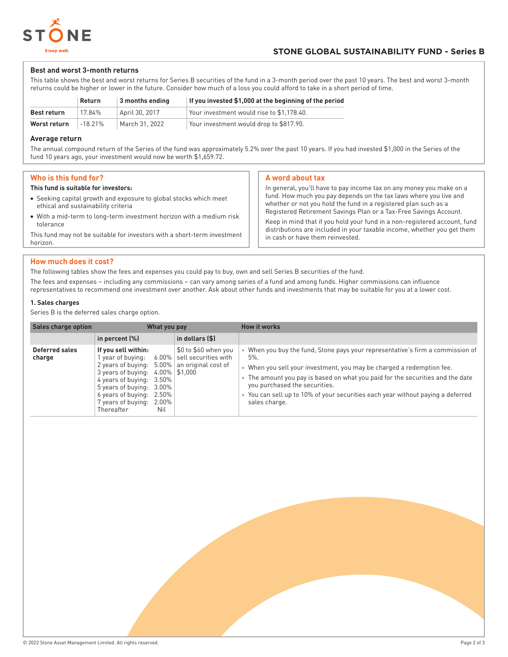

## **Best and worst 3-month returns**

This table shows the best and worst returns for Series B securities of the fund in a 3-month period over the past 10 years. The best and worst 3-month returns could be higher or lower in the future. Consider how much of a loss you could afford to take in a short period of time.

|              | Return     | 3 months ending | If you invested \$1,000 at the beginning of the period |
|--------------|------------|-----------------|--------------------------------------------------------|
| Best return  | 17.84%     | April 30, 2017  | Your investment would rise to \$1.178.40.              |
| Worst return | $-18.21\%$ | March 31, 2022  | Your investment would drop to \$817.90.                |

## **Average return**

The annual compound return of the Series of the fund was approximately 5.2% over the past 10 years. If you had invested \$1,000 in the Series of the fund 10 years ago, your investment would now be worth \$1,659.72.

## **Who is this fund for?**

#### **This fund is suitable for investors:**

- Seeking capital growth and exposure to global stocks which meet ethical and sustainability criteria
- With a mid-term to long-term investment horizon with a medium risk tolerance

This fund may not be suitable for investors with a short-term investment horizon.

## **A word about tax**

In general, you'll have to pay income tax on any money you make on a fund. How much you pay depends on the tax laws where you live and whether or not you hold the fund in a registered plan such as a Registered Retirement Savings Plan or a Tax-Free Savings Account.

Keep in mind that if you hold your fund in a non-registered account, fund distributions are included in your taxable income, whether you get them in cash or have them reinvested.

## **How much does it cost?**

The following tables show the fees and expenses you could pay to buy, own and sell Series B securities of the fund.

The fees and expenses – including any commissions – can vary among series of a fund and among funds. Higher commissions can influence representatives to recommend one investment over another. Ask about other funds and investments that may be suitable for you at a lower cost.

## **1. Sales charges**

Series B is the deferred sales charge option.

| <b>Sales charge option</b> | What you pay                                                                                                                                                                                                                                                                       |                                                       | <b>How it works</b>                                                                                                                                                                                                                                                                                                                                                               |
|----------------------------|------------------------------------------------------------------------------------------------------------------------------------------------------------------------------------------------------------------------------------------------------------------------------------|-------------------------------------------------------|-----------------------------------------------------------------------------------------------------------------------------------------------------------------------------------------------------------------------------------------------------------------------------------------------------------------------------------------------------------------------------------|
|                            | in percent $(\%)$                                                                                                                                                                                                                                                                  | in dollars (\$)                                       |                                                                                                                                                                                                                                                                                                                                                                                   |
| Deferred sales<br>charge   | If you sell within:<br>l year of buying:<br>2 years of buying: $5.00\%$ an original cost of<br>3 years of buying: $4.00\%$   \$1,000<br>4 years of buying: 3.50%<br>5 years of buying:<br>3.00%<br>6 years of buying:<br>2.50%<br>7 years of buying:<br>2.00%<br>Thereafter<br>Nil | \$0 to \$60 when you<br>$6.00\%$ sell securities with | When you buy the fund, Stone pays your representative's firm a commission of<br>$5\%$ .<br>When you sell your investment, you may be charged a redemption fee.<br>The amount you pay is based on what you paid for the securities and the date<br>you purchased the securities.<br>You can sell up to 10% of your securities each year without paying a deferred<br>sales charge. |